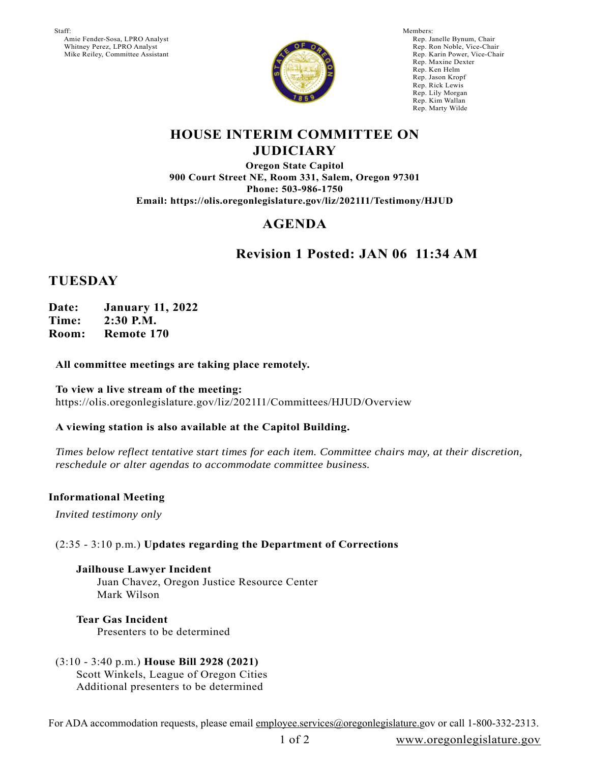Staff: Amie Fender-Sosa, LPRO Analyst Whitney Perez, LPRO Analyst Mike Reiley, Committee Assistant



Members: Rep. Janelle Bynum, Chair Rep. Ron Noble, Vice-Chair Rep. Karin Power, Vice-Chair Rep. Maxine Dexter Rep. Ken Helm Rep. Jason Kropf Rep. Rick Lewis Rep. Lily Morgan Rep. Kim Wallan Rep. Marty Wilde

### **HOUSE INTERIM COMMITTEE ON JUDICIARY**

**Oregon State Capitol 900 Court Street NE, Room 331, Salem, Oregon 97301 Phone: 503-986-1750 Email: https://olis.oregonlegislature.gov/liz/2021I1/Testimony/HJUD**

# **AGENDA**

### **Revision 1 Posted: JAN 06 11:34 AM**

### **TUESDAY**

**Date: January 11, 2022 Time: 2:30 P.M. Room: Remote 170**

#### **All committee meetings are taking place remotely.**

**To view a live stream of the meeting:**  https://olis.oregonlegislature.gov/liz/2021I1/Committees/HJUD/Overview

#### **A viewing station is also available at the Capitol Building.**

*Times below reflect tentative start times for each item. Committee chairs may, at their discretion, reschedule or alter agendas to accommodate committee business.* 

#### **Informational Meeting**

*Invited testimony only*

### (2:35 - 3:10 p.m.) **Updates regarding the Department of Corrections**

**Jailhouse Lawyer Incident** Juan Chavez, Oregon Justice Resource Center Mark Wilson

**Tear Gas Incident** Presenters to be determined

(3:10 - 3:40 p.m.) **House Bill 2928 (2021)** Scott Winkels, League of Oregon Cities Additional presenters to be determined

For ADA accommodation requests, please email employee.services@oregonlegislature.gov or call 1-800-332-2313.